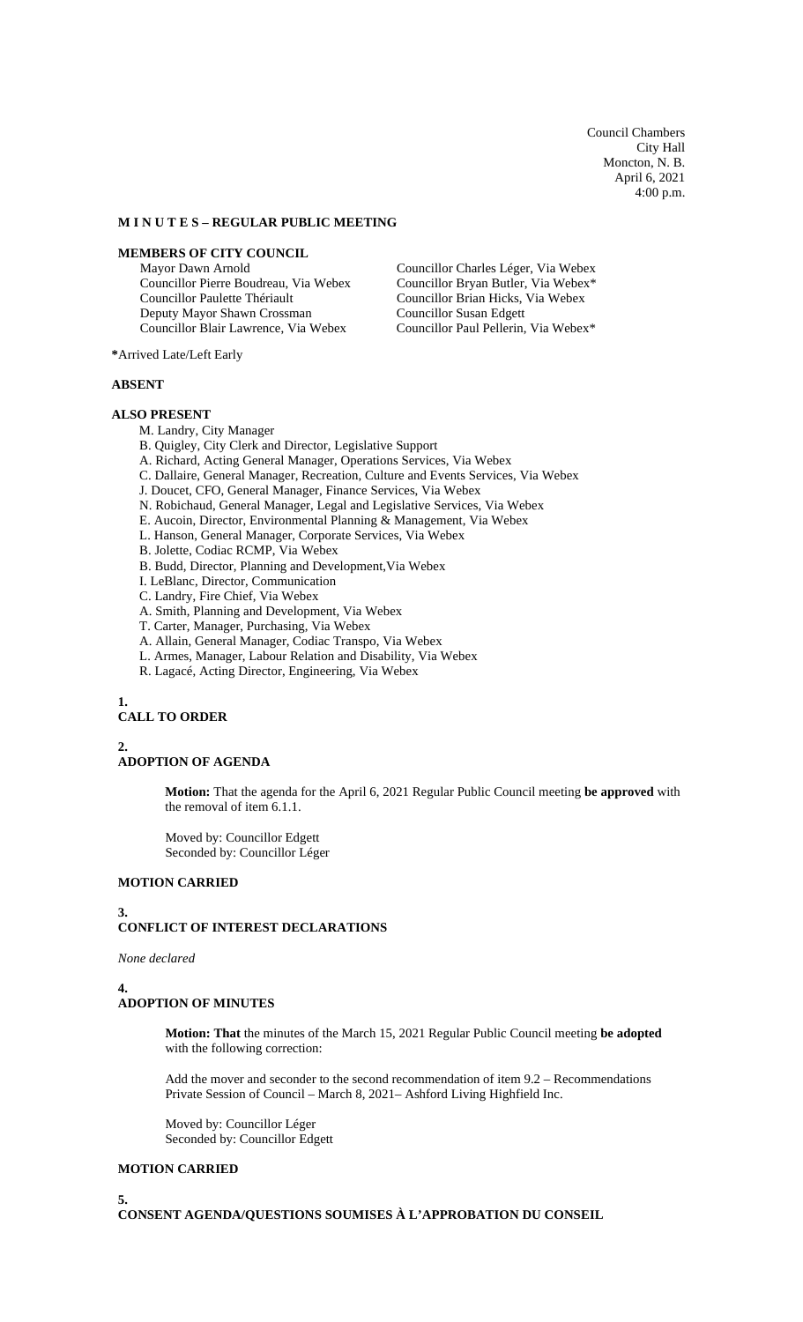Council Chambers City Hall Moncton, N. B. April 6, 2021 4:00 p.m.

#### **M I N U T E S – REGULAR PUBLIC MEETING**

# **MEMBERS OF CITY COUNCIL**

Mayor Dawn Arnold Councillor Pierre Boudreau, Via Webex Councillor Paulette Thériault Deputy Mayor Shawn Crossman Councillor Blair Lawrence, Via Webex

Councillor Charles Léger, Via Webex Councillor Bryan Butler, Via Webex\* Councillor Brian Hicks, Via Webex Councillor Susan Edgett Councillor Paul Pellerin, Via Webex\*

**\***Arrived Late/Left Early

#### **ABSENT**

#### **ALSO PRESENT**

- M. Landry, City Manager
- B. Quigley, City Clerk and Director, Legislative Support
- A. Richard, Acting General Manager, Operations Services, Via Webex
- C. Dallaire, General Manager, Recreation, Culture and Events Services, Via Webex
- J. Doucet, CFO, General Manager, Finance Services, Via Webex
- N. Robichaud, General Manager, Legal and Legislative Services, Via Webex
- E. Aucoin, Director, Environmental Planning & Management, Via Webex
- L. Hanson, General Manager, Corporate Services, Via Webex
- B. Jolette, Codiac RCMP, Via Webex
- B. Budd, Director, Planning and Development,Via Webex
- I. LeBlanc, Director, Communication
- C. Landry, Fire Chief, Via Webex
- A. Smith, Planning and Development, Via Webex
- T. Carter, Manager, Purchasing, Via Webex
- A. Allain, General Manager, Codiac Transpo, Via Webex
- L. Armes, Manager, Labour Relation and Disability, Via Webex
- R. Lagacé, Acting Director, Engineering, Via Webex

## **1.**

# **CALL TO ORDER**

#### **2.**

#### **ADOPTION OF AGENDA**

**Motion:** That the agenda for the April 6, 2021 Regular Public Council meeting **be approved** with the removal of item 6.1.1.

Moved by: Councillor Edgett Seconded by: Councillor Léger

# **MOTION CARRIED**

## **3.**

# **CONFLICT OF INTEREST DECLARATIONS**

#### *None declared*

## **4.**

# **ADOPTION OF MINUTES**

**Motion: That** the minutes of the March 15, 2021 Regular Public Council meeting **be adopted** with the following correction:

Add the mover and seconder to the second recommendation of item 9.2 – Recommendations Private Session of Council – March 8, 2021– Ashford Living Highfield Inc.

Moved by: Councillor Léger Seconded by: Councillor Edgett

# **MOTION CARRIED**

**5.**

**CONSENT AGENDA/QUESTIONS SOUMISES À L'APPROBATION DU CONSEIL**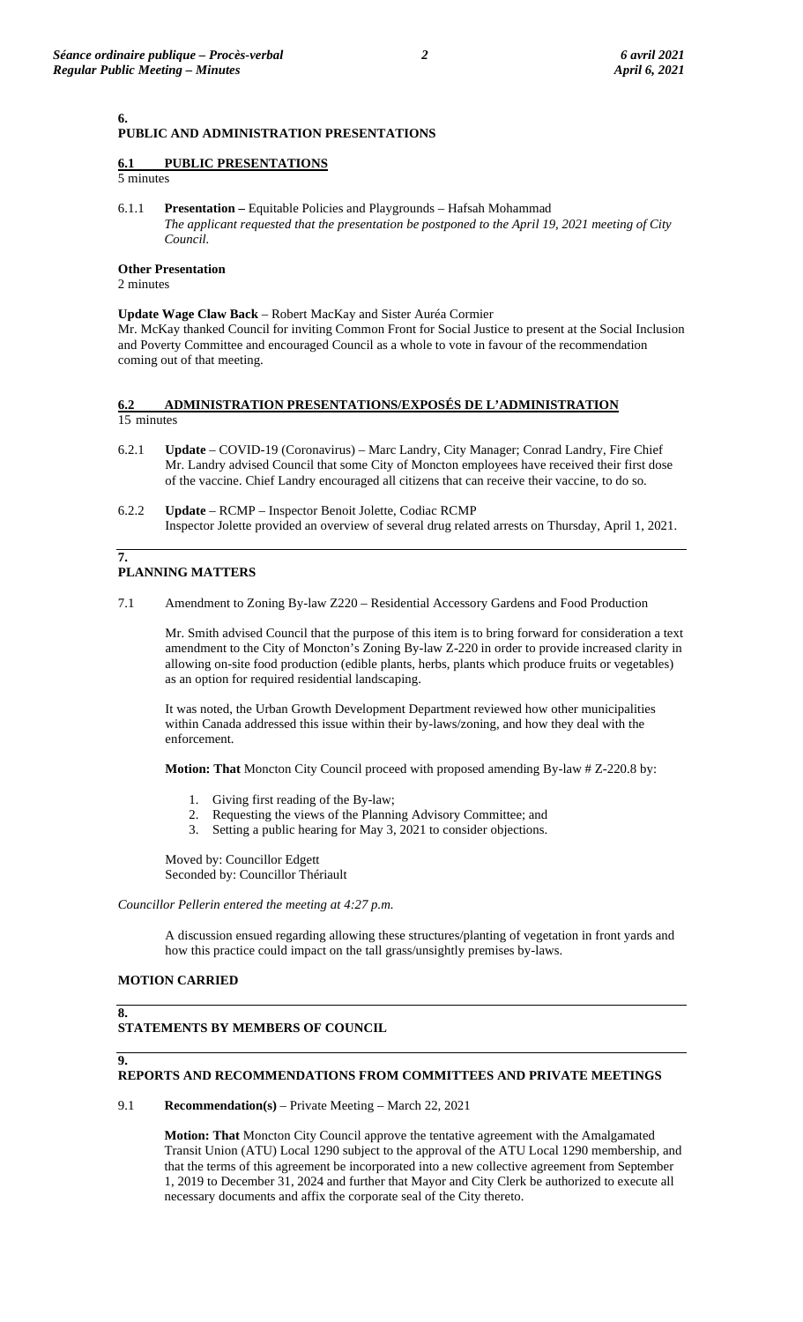# **PUBLIC AND ADMINISTRATION PRESENTATIONS**

## **6.1 PUBLIC PRESENTATIONS**

5 minutes

**6.**

6.1.1 **Presentation –** Equitable Policies and Playgrounds – Hafsah Mohammad *The applicant requested that the presentation be postponed to the April 19, 2021 meeting of City Council.*

#### **Other Presentation**

2 minutes

**Update Wage Claw Back** – Robert MacKay and Sister Auréa Cormier Mr. McKay thanked Council for inviting Common Front for Social Justice to present at the Social Inclusion and Poverty Committee and encouraged Council as a whole to vote in favour of the recommendation coming out of that meeting.

## **6.2 ADMINISTRATION PRESENTATIONS/EXPOSÉS DE L'ADMINISTRATION**  15 minutes

- 6.2.1 **Update** COVID-19 (Coronavirus) Marc Landry, City Manager; Conrad Landry, Fire Chief Mr. Landry advised Council that some City of Moncton employees have received their first dose of the vaccine. Chief Landry encouraged all citizens that can receive their vaccine, to do so.
- 6.2.2 **Update** RCMP Inspector Benoit Jolette, Codiac RCMP Inspector Jolette provided an overview of several drug related arrests on Thursday, April 1, 2021.

#### **7. PLANNING MATTERS**

7.1 Amendment to Zoning By-law Z220 – Residential Accessory Gardens and Food Production

Mr. Smith advised Council that the purpose of this item is to bring forward for consideration a text amendment to the City of Moncton's Zoning By-law Z-220 in order to provide increased clarity in allowing on-site food production (edible plants, herbs, plants which produce fruits or vegetables) as an option for required residential landscaping.

It was noted, the Urban Growth Development Department reviewed how other municipalities within Canada addressed this issue within their by-laws/zoning, and how they deal with the enforcement.

**Motion: That** Moncton City Council proceed with proposed amending By-law # Z-220.8 by:

- 1. Giving first reading of the By-law;
- 2. Requesting the views of the Planning Advisory Committee; and
- 3. Setting a public hearing for May 3, 2021 to consider objections.

Moved by: Councillor Edgett Seconded by: Councillor Thériault

*Councillor Pellerin entered the meeting at 4:27 p.m.*

A discussion ensued regarding allowing these structures/planting of vegetation in front yards and how this practice could impact on the tall grass/unsightly premises by-laws.

#### **MOTION CARRIED**

**8.**

## **STATEMENTS BY MEMBERS OF COUNCIL**

# **9.**

# **REPORTS AND RECOMMENDATIONS FROM COMMITTEES AND PRIVATE MEETINGS**

9.1 **Recommendation(s)** – Private Meeting – March 22, 2021

**Motion: That** Moncton City Council approve the tentative agreement with the Amalgamated Transit Union (ATU) Local 1290 subject to the approval of the ATU Local 1290 membership, and that the terms of this agreement be incorporated into a new collective agreement from September 1, 2019 to December 31, 2024 and further that Mayor and City Clerk be authorized to execute all necessary documents and affix the corporate seal of the City thereto.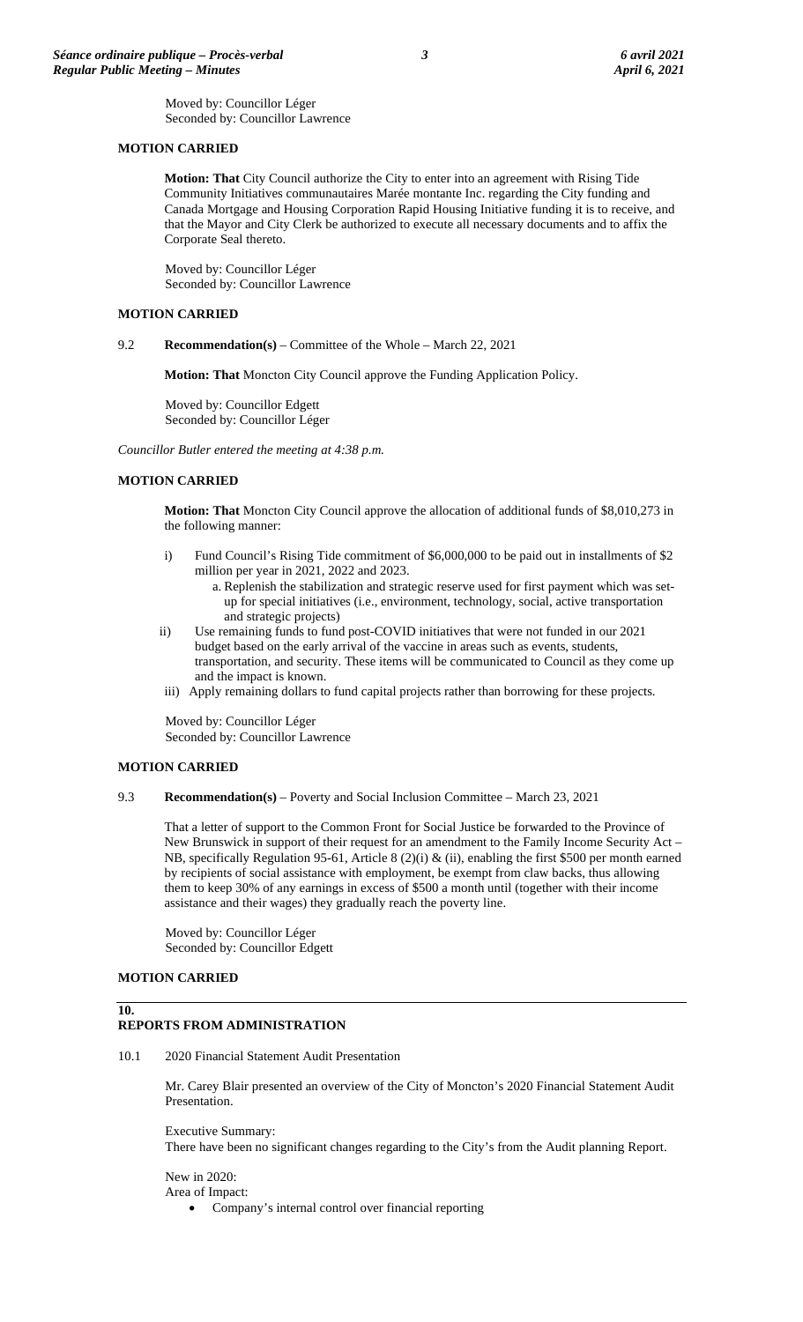Moved by: Councillor Léger Seconded by: Councillor Lawrence

## **MOTION CARRIED**

**Motion: That** City Council authorize the City to enter into an agreement with Rising Tide Community Initiatives communautaires Marée montante Inc. regarding the City funding and Canada Mortgage and Housing Corporation Rapid Housing Initiative funding it is to receive, and that the Mayor and City Clerk be authorized to execute all necessary documents and to affix the Corporate Seal thereto.

Moved by: Councillor Léger Seconded by: Councillor Lawrence

# **MOTION CARRIED**

9.2 **Recommendation(s)** – Committee of the Whole – March 22, 2021

**Motion: That** Moncton City Council approve the Funding Application Policy.

Moved by: Councillor Edgett Seconded by: Councillor Léger

*Councillor Butler entered the meeting at 4:38 p.m.*

# **MOTION CARRIED**

**Motion: That** Moncton City Council approve the allocation of additional funds of \$8,010,273 in the following manner:

- i) Fund Council's Rising Tide commitment of \$6,000,000 to be paid out in installments of \$2 million per year in 2021, 2022 and 2023.
	- a. Replenish the stabilization and strategic reserve used for first payment which was setup for special initiatives (i.e., environment, technology, social, active transportation and strategic projects)
- ii) Use remaining funds to fund post-COVID initiatives that were not funded in our 2021 budget based on the early arrival of the vaccine in areas such as events, students, transportation, and security. These items will be communicated to Council as they come up and the impact is known.
- iii) Apply remaining dollars to fund capital projects rather than borrowing for these projects.

Moved by: Councillor Léger Seconded by: Councillor Lawrence

## **MOTION CARRIED**

9.3 **Recommendation(s)** – Poverty and Social Inclusion Committee – March 23, 2021

That a letter of support to the Common Front for Social Justice be forwarded to the Province of New Brunswick in support of their request for an amendment to the Family Income Security Act – NB, specifically Regulation 95-61, Article 8 (2)(i) & (ii), enabling the first \$500 per month earned by recipients of social assistance with employment, be exempt from claw backs, thus allowing them to keep 30% of any earnings in excess of \$500 a month until (together with their income assistance and their wages) they gradually reach the poverty line.

Moved by: Councillor Léger Seconded by: Councillor Edgett

# **MOTION CARRIED**

## **10.**

# **REPORTS FROM ADMINISTRATION**

10.1 2020 Financial Statement Audit Presentation

Mr. Carey Blair presented an overview of the City of Moncton's 2020 Financial Statement Audit Presentation.

Executive Summary: There have been no significant changes regarding to the City's from the Audit planning Report.

New in 2020: Area of Impact:

• Company's internal control over financial reporting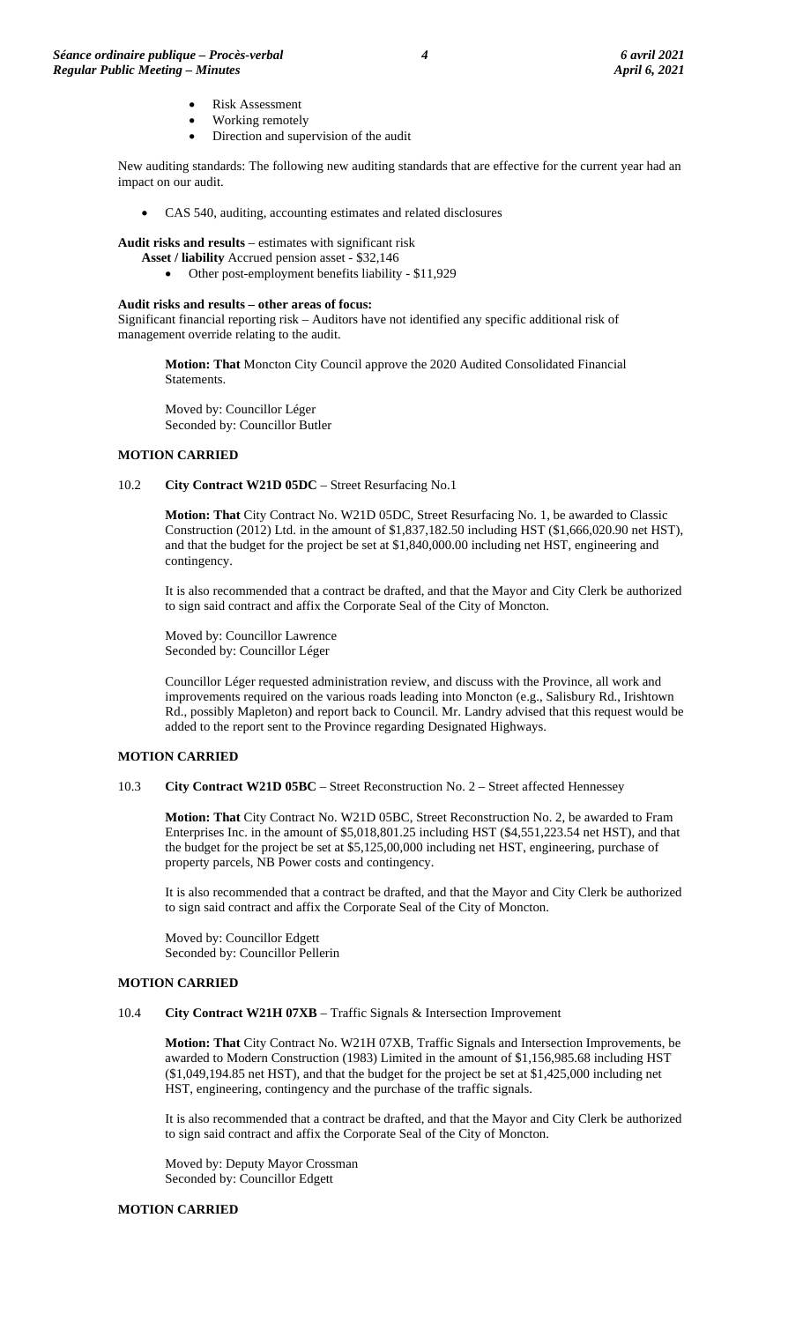- Risk Assessment
- Working remotely
- Direction and supervision of the audit

New auditing standards: The following new auditing standards that are effective for the current year had an impact on our audit.

• CAS 540, auditing, accounting estimates and related disclosures

**Audit risks and results** – estimates with significant risk

- **Asset / liability** Accrued pension asset \$32,146
	- Other post-employment benefits liability \$11,929

#### **Audit risks and results – other areas of focus:**

Significant financial reporting risk – Auditors have not identified any specific additional risk of management override relating to the audit.

**Motion: That** Moncton City Council approve the 2020 Audited Consolidated Financial Statements.

Moved by: Councillor Léger Seconded by: Councillor Butler

## **MOTION CARRIED**

#### 10.2 **City Contract W21D 05DC** – Street Resurfacing No.1

**Motion: That** City Contract No. W21D 05DC, Street Resurfacing No. 1, be awarded to Classic Construction (2012) Ltd. in the amount of \$1,837,182.50 including HST (\$1,666,020.90 net HST), and that the budget for the project be set at \$1,840,000.00 including net HST, engineering and contingency.

It is also recommended that a contract be drafted, and that the Mayor and City Clerk be authorized to sign said contract and affix the Corporate Seal of the City of Moncton.

Moved by: Councillor Lawrence Seconded by: Councillor Léger

Councillor Léger requested administration review, and discuss with the Province, all work and improvements required on the various roads leading into Moncton (e.g., Salisbury Rd., Irishtown Rd., possibly Mapleton) and report back to Council. Mr. Landry advised that this request would be added to the report sent to the Province regarding Designated Highways.

## **MOTION CARRIED**

10.3 **City Contract W21D 05BC** – Street Reconstruction No. 2 – Street affected Hennessey

**Motion: That** City Contract No. W21D 05BC, Street Reconstruction No. 2, be awarded to Fram Enterprises Inc. in the amount of \$5,018,801.25 including HST (\$4,551,223.54 net HST), and that the budget for the project be set at \$5,125,00,000 including net HST, engineering, purchase of property parcels, NB Power costs and contingency.

It is also recommended that a contract be drafted, and that the Mayor and City Clerk be authorized to sign said contract and affix the Corporate Seal of the City of Moncton.

Moved by: Councillor Edgett Seconded by: Councillor Pellerin

## **MOTION CARRIED**

#### 10.4 **City Contract W21H 07XB** – Traffic Signals & Intersection Improvement

**Motion: That** City Contract No. W21H 07XB, Traffic Signals and Intersection Improvements, be awarded to Modern Construction (1983) Limited in the amount of \$1,156,985.68 including HST (\$1,049,194.85 net HST), and that the budget for the project be set at \$1,425,000 including net HST, engineering, contingency and the purchase of the traffic signals.

It is also recommended that a contract be drafted, and that the Mayor and City Clerk be authorized to sign said contract and affix the Corporate Seal of the City of Moncton.

Moved by: Deputy Mayor Crossman Seconded by: Councillor Edgett

#### **MOTION CARRIED**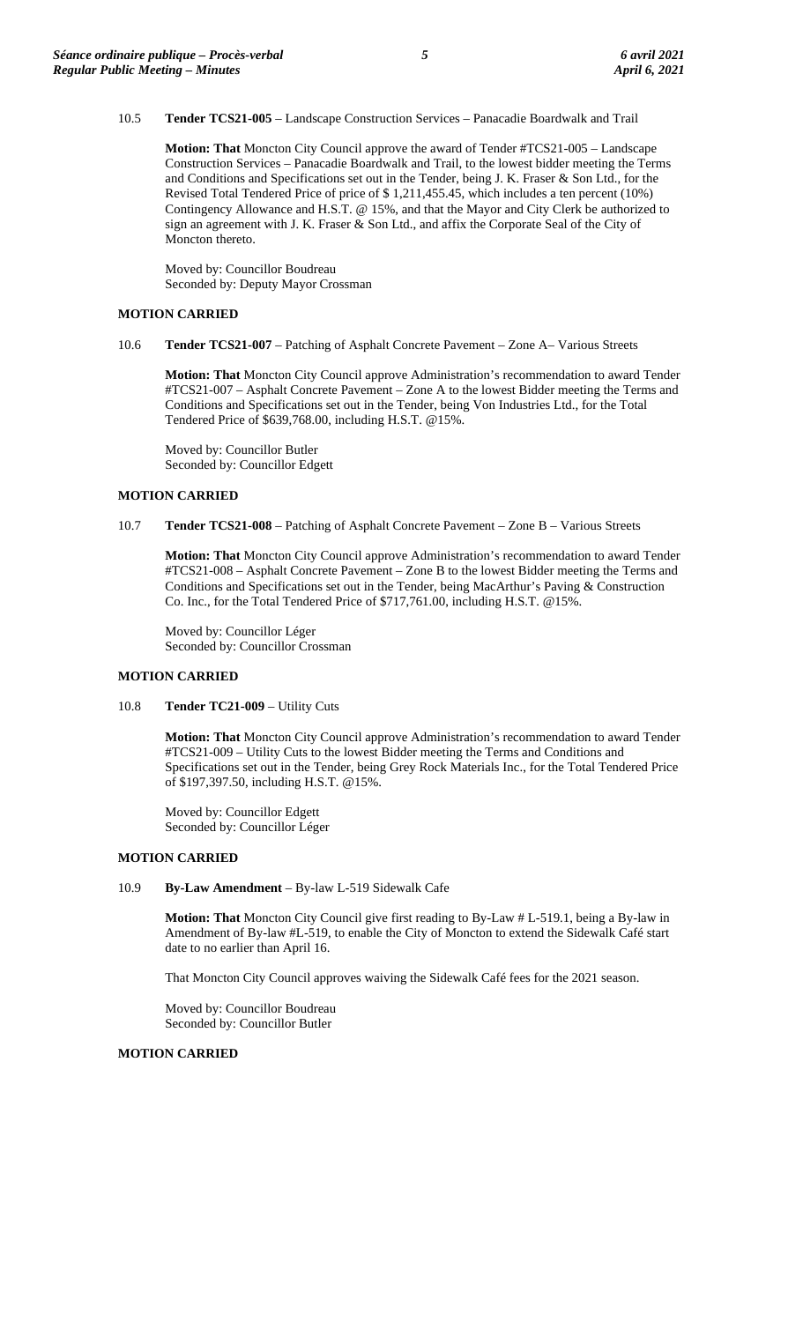## 10.5 **Tender TCS21-005** – Landscape Construction Services – Panacadie Boardwalk and Trail

**Motion: That** Moncton City Council approve the award of Tender #TCS21-005 – Landscape Construction Services – Panacadie Boardwalk and Trail, to the lowest bidder meeting the Terms and Conditions and Specifications set out in the Tender, being J. K. Fraser & Son Ltd., for the Revised Total Tendered Price of price of \$1,211,455.45, which includes a ten percent (10%) Contingency Allowance and H.S.T. @ 15%, and that the Mayor and City Clerk be authorized to sign an agreement with J. K. Fraser & Son Ltd., and affix the Corporate Seal of the City of Moncton thereto.

Moved by: Councillor Boudreau Seconded by: Deputy Mayor Crossman

## **MOTION CARRIED**

10.6 **Tender TCS21-007** – Patching of Asphalt Concrete Pavement – Zone A– Various Streets

**Motion: That** Moncton City Council approve Administration's recommendation to award Tender #TCS21-007 – Asphalt Concrete Pavement – Zone A to the lowest Bidder meeting the Terms and Conditions and Specifications set out in the Tender, being Von Industries Ltd., for the Total Tendered Price of \$639,768.00, including H.S.T. @15%.

Moved by: Councillor Butler Seconded by: Councillor Edgett

#### **MOTION CARRIED**

10.7 **Tender TCS21-008** – Patching of Asphalt Concrete Pavement – Zone B – Various Streets

**Motion: That** Moncton City Council approve Administration's recommendation to award Tender #TCS21-008 – Asphalt Concrete Pavement – Zone B to the lowest Bidder meeting the Terms and Conditions and Specifications set out in the Tender, being MacArthur's Paving & Construction Co. Inc., for the Total Tendered Price of \$717,761.00, including H.S.T. @15%.

Moved by: Councillor Léger Seconded by: Councillor Crossman

# **MOTION CARRIED**

10.8 **Tender TC21-009** – Utility Cuts

**Motion: That** Moncton City Council approve Administration's recommendation to award Tender #TCS21-009 – Utility Cuts to the lowest Bidder meeting the Terms and Conditions and Specifications set out in the Tender, being Grey Rock Materials Inc., for the Total Tendered Price of \$197,397.50, including H.S.T. @15%.

Moved by: Councillor Edgett Seconded by: Councillor Léger

## **MOTION CARRIED**

10.9 **By-Law Amendment** – By-law L-519 Sidewalk Cafe

**Motion: That** Moncton City Council give first reading to By-Law # L-519.1, being a By-law in Amendment of By-law #L-519, to enable the City of Moncton to extend the Sidewalk Café start date to no earlier than April 16.

That Moncton City Council approves waiving the Sidewalk Café fees for the 2021 season.

Moved by: Councillor Boudreau Seconded by: Councillor Butler

## **MOTION CARRIED**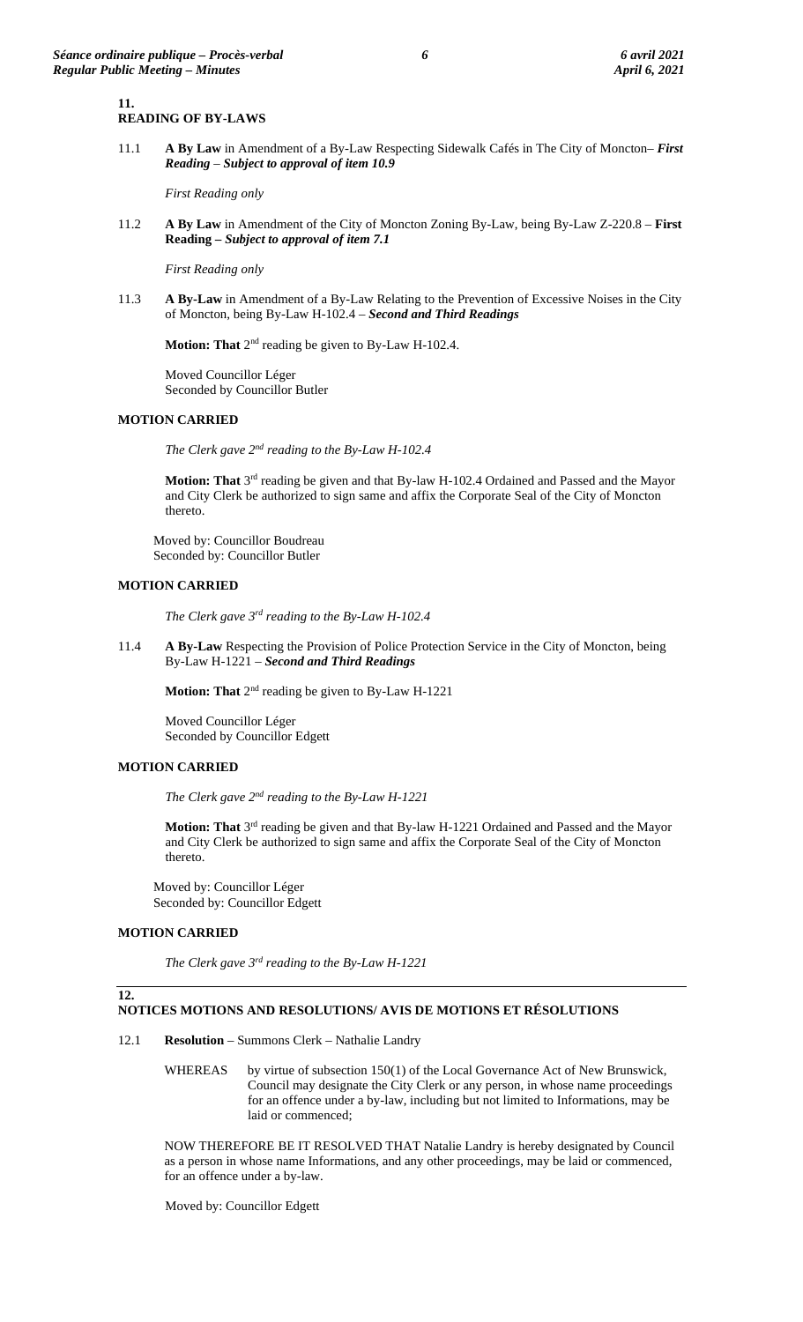#### **11. READING OF BY-LAWS**

11.1 **A By Law** in Amendment of a By-Law Respecting Sidewalk Cafés in The City of Moncton– *First Reading – Subject to approval of item 10.9*

*First Reading only*

11.2 **A By Law** in Amendment of the City of Moncton Zoning By-Law, being By-Law Z-220.8 – **First Reading** *– Subject to approval of item 7.1*

*First Reading only*

11.3 **A By-Law** in Amendment of a By-Law Relating to the Prevention of Excessive Noises in the City of Moncton, being By-Law H-102.4 – *Second and Third Readings*

**Motion: That** 2<sup>nd</sup> reading be given to By-Law H-102.4.

Moved Councillor Léger Seconded by Councillor Butler

## **MOTION CARRIED**

*The Clerk gave 2nd reading to the By-Law H-102.4*

Motion: That 3<sup>rd</sup> reading be given and that By-law H-102.4 Ordained and Passed and the Mayor and City Clerk be authorized to sign same and affix the Corporate Seal of the City of Moncton thereto.

Moved by: Councillor Boudreau Seconded by: Councillor Butler

## **MOTION CARRIED**

*The Clerk gave 3rd reading to the By-Law H-102.4*

11.4 **A By-Law** Respecting the Provision of Police Protection Service in the City of Moncton, being By-Law H-1221 – *Second and Third Readings*

**Motion: That** 2nd reading be given to By-Law H-1221

Moved Councillor Léger Seconded by Councillor Edgett

## **MOTION CARRIED**

*The Clerk gave 2nd reading to the By-Law H-1221*

**Motion: That** 3rd reading be given and that By-law H-1221 Ordained and Passed and the Mayor and City Clerk be authorized to sign same and affix the Corporate Seal of the City of Moncton thereto.

Moved by: Councillor Léger Seconded by: Councillor Edgett

#### **MOTION CARRIED**

*The Clerk gave 3rd reading to the By-Law H-1221*

**12.**

## **NOTICES MOTIONS AND RESOLUTIONS/ AVIS DE MOTIONS ET RÉSOLUTIONS**

12.1 **Resolution** – Summons Clerk – Nathalie Landry

WHEREAS by virtue of subsection 150(1) of the Local Governance Act of New Brunswick, Council may designate the City Clerk or any person, in whose name proceedings for an offence under a by-law, including but not limited to Informations, may be laid or commenced;

NOW THEREFORE BE IT RESOLVED THAT Natalie Landry is hereby designated by Council as a person in whose name Informations, and any other proceedings, may be laid or commenced, for an offence under a by-law.

Moved by: Councillor Edgett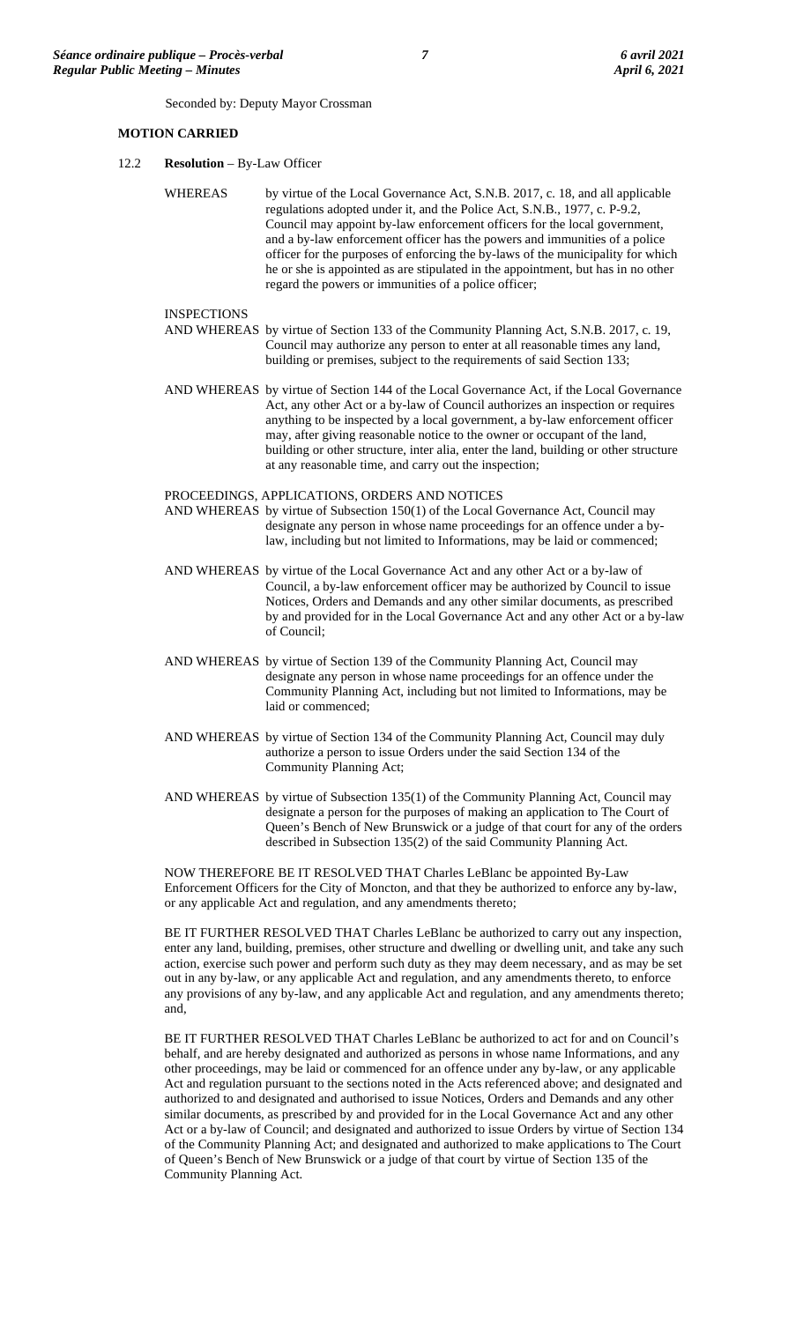Seconded by: Deputy Mayor Crossman

#### **MOTION CARRIED**

12.2 **Resolution** – By-Law Officer

WHEREAS by virtue of the Local Governance Act, S.N.B. 2017, c. 18, and all applicable regulations adopted under it, and the Police Act, S.N.B., 1977, c. P-9.2, Council may appoint by-law enforcement officers for the local government, and a by-law enforcement officer has the powers and immunities of a police officer for the purposes of enforcing the by-laws of the municipality for which he or she is appointed as are stipulated in the appointment, but has in no other regard the powers or immunities of a police officer;

#### **INSPECTIONS**

AND WHEREAS by virtue of Section 133 of the Community Planning Act, S.N.B. 2017, c. 19, Council may authorize any person to enter at all reasonable times any land, building or premises, subject to the requirements of said Section 133;

AND WHEREAS by virtue of Section 144 of the Local Governance Act, if the Local Governance Act, any other Act or a by-law of Council authorizes an inspection or requires anything to be inspected by a local government, a by-law enforcement officer may, after giving reasonable notice to the owner or occupant of the land, building or other structure, inter alia, enter the land, building or other structure at any reasonable time, and carry out the inspection;

PROCEEDINGS, APPLICATIONS, ORDERS AND NOTICES

AND WHEREAS by virtue of Subsection 150(1) of the Local Governance Act, Council may designate any person in whose name proceedings for an offence under a bylaw, including but not limited to Informations, may be laid or commenced;

- AND WHEREAS by virtue of the Local Governance Act and any other Act or a by-law of Council, a by-law enforcement officer may be authorized by Council to issue Notices, Orders and Demands and any other similar documents, as prescribed by and provided for in the Local Governance Act and any other Act or a by-law of Council;
- AND WHEREAS by virtue of Section 139 of the Community Planning Act, Council may designate any person in whose name proceedings for an offence under the Community Planning Act, including but not limited to Informations, may be laid or commenced;
- AND WHEREAS by virtue of Section 134 of the Community Planning Act, Council may duly authorize a person to issue Orders under the said Section 134 of the Community Planning Act;
- AND WHEREAS by virtue of Subsection 135(1) of the Community Planning Act, Council may designate a person for the purposes of making an application to The Court of Queen's Bench of New Brunswick or a judge of that court for any of the orders described in Subsection 135(2) of the said Community Planning Act.

NOW THEREFORE BE IT RESOLVED THAT Charles LeBlanc be appointed By-Law Enforcement Officers for the City of Moncton, and that they be authorized to enforce any by-law, or any applicable Act and regulation, and any amendments thereto;

BE IT FURTHER RESOLVED THAT Charles LeBlanc be authorized to carry out any inspection, enter any land, building, premises, other structure and dwelling or dwelling unit, and take any such action, exercise such power and perform such duty as they may deem necessary, and as may be set out in any by-law, or any applicable Act and regulation, and any amendments thereto, to enforce any provisions of any by-law, and any applicable Act and regulation, and any amendments thereto; and,

BE IT FURTHER RESOLVED THAT Charles LeBlanc be authorized to act for and on Council's behalf, and are hereby designated and authorized as persons in whose name Informations, and any other proceedings, may be laid or commenced for an offence under any by-law, or any applicable Act and regulation pursuant to the sections noted in the Acts referenced above; and designated and authorized to and designated and authorised to issue Notices, Orders and Demands and any other similar documents, as prescribed by and provided for in the Local Governance Act and any other Act or a by-law of Council; and designated and authorized to issue Orders by virtue of Section 134 of the Community Planning Act; and designated and authorized to make applications to The Court of Queen's Bench of New Brunswick or a judge of that court by virtue of Section 135 of the Community Planning Act.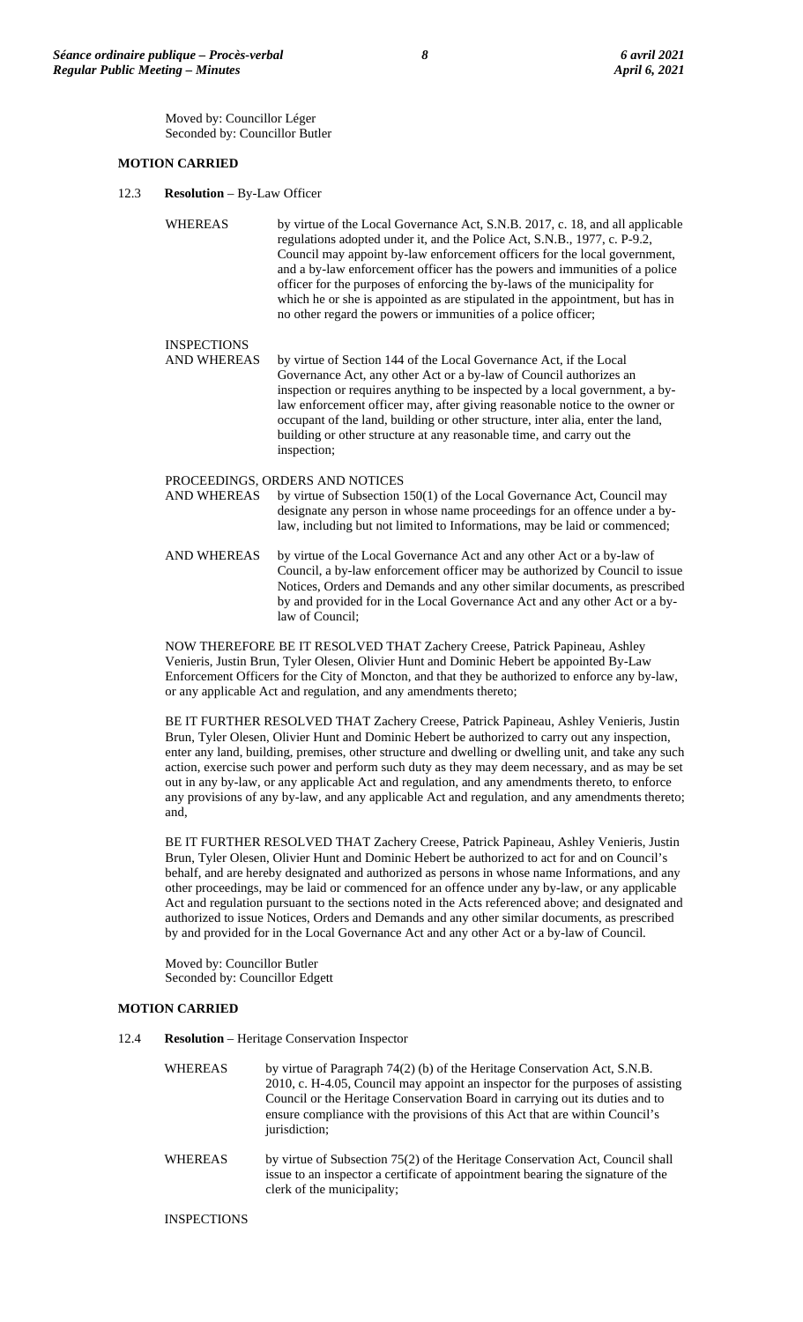Moved by: Councillor Léger Seconded by: Councillor Butler

### **MOTION CARRIED**

12.3 **Resolution** – By-Law Officer

WHEREAS by virtue of the Local Governance Act, S.N.B. 2017, c. 18, and all applicable regulations adopted under it, and the Police Act, S.N.B., 1977, c. P-9.2, Council may appoint by-law enforcement officers for the local government, and a by-law enforcement officer has the powers and immunities of a police officer for the purposes of enforcing the by-laws of the municipality for which he or she is appointed as are stipulated in the appointment, but has in no other regard the powers or immunities of a police officer;

INSPECTIONS<br>AND WHEREAS by virtue of Section 144 of the Local Governance Act, if the Local Governance Act, any other Act or a by-law of Council authorizes an inspection or requires anything to be inspected by a local government, a bylaw enforcement officer may, after giving reasonable notice to the owner or occupant of the land, building or other structure, inter alia, enter the land, building or other structure at any reasonable time, and carry out the inspection;

# PROCEEDINGS, ORDERS AND NOTICES<br>AND WHEREAS by virtue of Subsection

by virtue of Subsection  $150(1)$  of the Local Governance Act, Council may designate any person in whose name proceedings for an offence under a bylaw, including but not limited to Informations, may be laid or commenced;

AND WHEREAS by virtue of the Local Governance Act and any other Act or a by-law of Council, a by-law enforcement officer may be authorized by Council to issue Notices, Orders and Demands and any other similar documents, as prescribed by and provided for in the Local Governance Act and any other Act or a bylaw of Council;

NOW THEREFORE BE IT RESOLVED THAT Zachery Creese, Patrick Papineau, Ashley Venieris, Justin Brun, Tyler Olesen, Olivier Hunt and Dominic Hebert be appointed By-Law Enforcement Officers for the City of Moncton, and that they be authorized to enforce any by-law, or any applicable Act and regulation, and any amendments thereto;

BE IT FURTHER RESOLVED THAT Zachery Creese, Patrick Papineau, Ashley Venieris, Justin Brun, Tyler Olesen, Olivier Hunt and Dominic Hebert be authorized to carry out any inspection, enter any land, building, premises, other structure and dwelling or dwelling unit, and take any such action, exercise such power and perform such duty as they may deem necessary, and as may be set out in any by-law, or any applicable Act and regulation, and any amendments thereto, to enforce any provisions of any by-law, and any applicable Act and regulation, and any amendments thereto; and,

BE IT FURTHER RESOLVED THAT Zachery Creese, Patrick Papineau, Ashley Venieris, Justin Brun, Tyler Olesen, Olivier Hunt and Dominic Hebert be authorized to act for and on Council's behalf, and are hereby designated and authorized as persons in whose name Informations, and any other proceedings, may be laid or commenced for an offence under any by-law, or any applicable Act and regulation pursuant to the sections noted in the Acts referenced above; and designated and authorized to issue Notices, Orders and Demands and any other similar documents, as prescribed by and provided for in the Local Governance Act and any other Act or a by-law of Council.

Moved by: Councillor Butler Seconded by: Councillor Edgett

## **MOTION CARRIED**

- 12.4 **Resolution** Heritage Conservation Inspector
	- WHEREAS by virtue of Paragraph 74(2) (b) of the Heritage Conservation Act, S.N.B. 2010, c. H-4.05, Council may appoint an inspector for the purposes of assisting Council or the Heritage Conservation Board in carrying out its duties and to ensure compliance with the provisions of this Act that are within Council's jurisdiction;
	- WHEREAS by virtue of Subsection 75(2) of the Heritage Conservation Act, Council shall issue to an inspector a certificate of appointment bearing the signature of the clerk of the municipality;

INSPECTIONS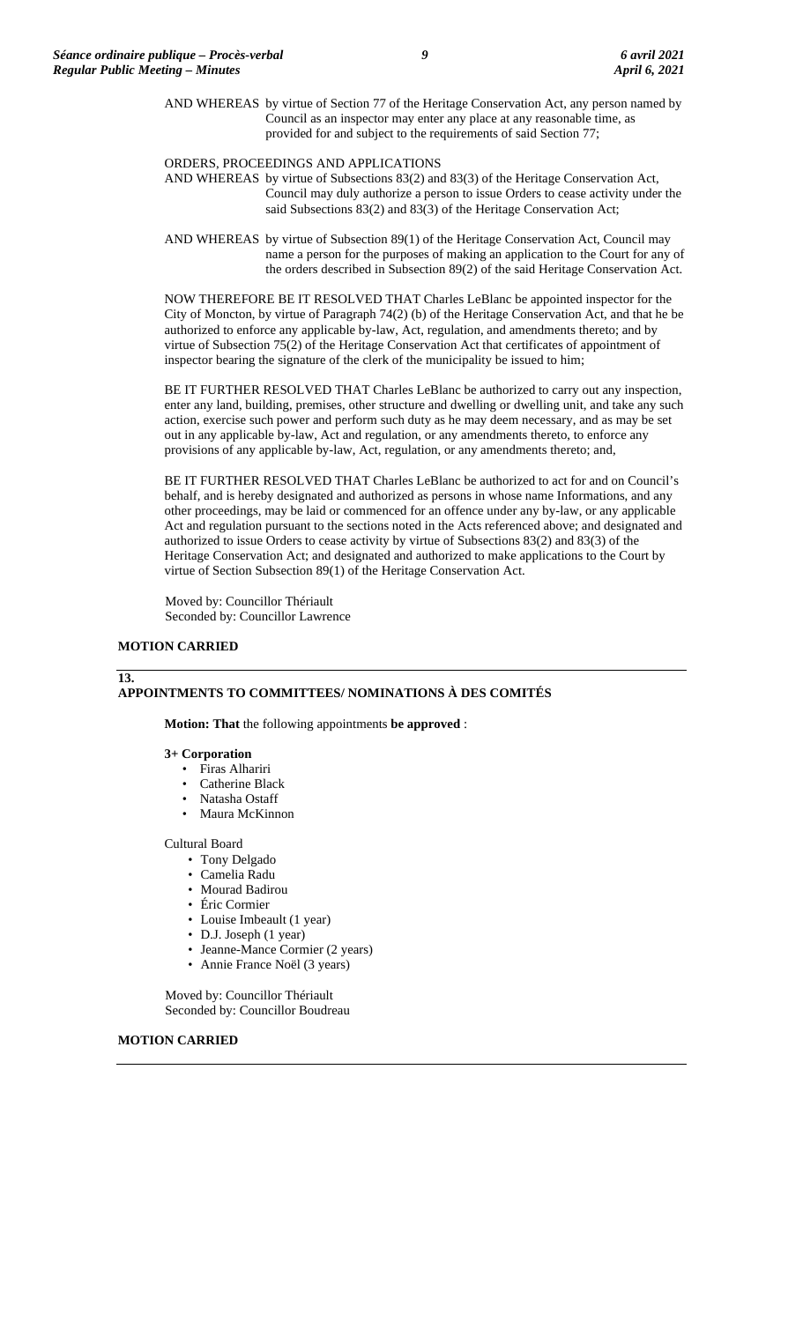AND WHEREAS by virtue of Section 77 of the Heritage Conservation Act, any person named by Council as an inspector may enter any place at any reasonable time, as provided for and subject to the requirements of said Section 77;

ORDERS, PROCEEDINGS AND APPLICATIONS

- AND WHEREAS by virtue of Subsections 83(2) and 83(3) of the Heritage Conservation Act, Council may duly authorize a person to issue Orders to cease activity under the said Subsections 83(2) and 83(3) of the Heritage Conservation Act;
- AND WHEREAS by virtue of Subsection 89(1) of the Heritage Conservation Act, Council may name a person for the purposes of making an application to the Court for any of the orders described in Subsection 89(2) of the said Heritage Conservation Act.

NOW THEREFORE BE IT RESOLVED THAT Charles LeBlanc be appointed inspector for the City of Moncton, by virtue of Paragraph 74(2) (b) of the Heritage Conservation Act, and that he be authorized to enforce any applicable by-law, Act, regulation, and amendments thereto; and by virtue of Subsection 75(2) of the Heritage Conservation Act that certificates of appointment of inspector bearing the signature of the clerk of the municipality be issued to him;

BE IT FURTHER RESOLVED THAT Charles LeBlanc be authorized to carry out any inspection, enter any land, building, premises, other structure and dwelling or dwelling unit, and take any such action, exercise such power and perform such duty as he may deem necessary, and as may be set out in any applicable by-law, Act and regulation, or any amendments thereto, to enforce any provisions of any applicable by-law, Act, regulation, or any amendments thereto; and,

BE IT FURTHER RESOLVED THAT Charles LeBlanc be authorized to act for and on Council's behalf, and is hereby designated and authorized as persons in whose name Informations, and any other proceedings, may be laid or commenced for an offence under any by-law, or any applicable Act and regulation pursuant to the sections noted in the Acts referenced above; and designated and authorized to issue Orders to cease activity by virtue of Subsections 83(2) and 83(3) of the Heritage Conservation Act; and designated and authorized to make applications to the Court by virtue of Section Subsection 89(1) of the Heritage Conservation Act.

Moved by: Councillor Thériault Seconded by: Councillor Lawrence

#### **MOTION CARRIED**

#### **13.**

# **APPOINTMENTS TO COMMITTEES/ NOMINATIONS À DES COMITÉS**

**Motion: That** the following appointments **be approved** :

#### **3+ Corporation**

- Firas Alhariri
- Catherine Black
- Natasha Ostaff
- Maura McKinnon

#### Cultural Board

- Tony Delgado
- Camelia Radu
- Mourad Badirou
- Éric Cormier
- Louise Imbeault (1 year)
- D.J. Joseph (1 year)
- Jeanne-Mance Cormier (2 years)
- Annie France Noël (3 years)

Moved by: Councillor Thériault Seconded by: Councillor Boudreau

## **MOTION CARRIED**